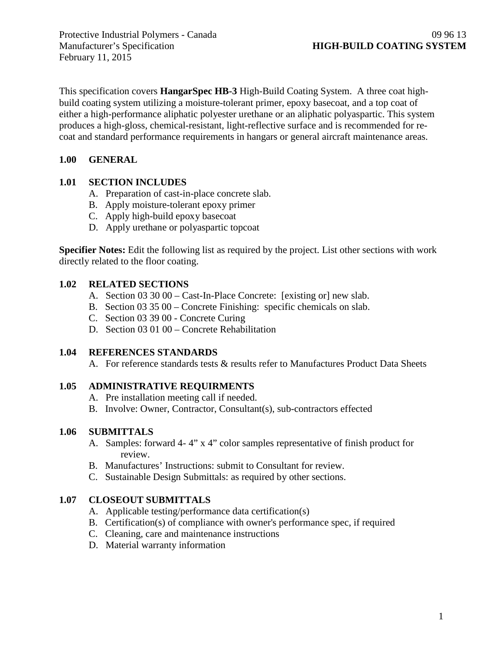Protective Industrial Polymers - Canada 09 96 13<br>
Manufacturer's Specification **HIGH-BUILD COATING SYSTEM** February 11, 2015

This specification covers **HangarSpec HB-3** High-Build Coating System. A three coat highbuild coating system utilizing a moisture-tolerant primer, epoxy basecoat, and a top coat of either a high-performance aliphatic polyester urethane or an aliphatic polyaspartic. This system produces a high-gloss, chemical-resistant, light-reflective surface and is recommended for recoat and standard performance requirements in hangars or general aircraft maintenance areas.

## **1.00 GENERAL**

## **1.01 SECTION INCLUDES**

- A. Preparation of cast-in-place concrete slab.
- B. Apply moisture-tolerant epoxy primer
- C. Apply high-build epoxy basecoat
- D. Apply urethane or polyaspartic topcoat

**Specifier Notes:** Edit the following list as required by the project. List other sections with work directly related to the floor coating.

## **1.02 RELATED SECTIONS**

- A. Section 03 30 00 Cast-In-Place Concrete: [existing or] new slab.
- B. Section 03 35 00 Concrete Finishing: specific chemicals on slab.
- C. Section 03 39 00 Concrete Curing
- D. Section 03 01 00 Concrete Rehabilitation

# **1.04 REFERENCES STANDARDS**

A. For reference standards tests & results refer to Manufactures Product Data Sheets

# **1.05 ADMINISTRATIVE REQUIRMENTS**

- A. Pre installation meeting call if needed.
- B. Involve: Owner, Contractor, Consultant(s), sub-contractors effected

# **1.06 SUBMITTALS**

- A. Samples: forward 4- 4" x 4" color samples representative of finish product for review.
- B. Manufactures' Instructions: submit to Consultant for review.
- C. Sustainable Design Submittals: as required by other sections.

# **1.07 CLOSEOUT SUBMITTALS**

- A. Applicable testing/performance data certification(s)
- B. Certification(s) of compliance with owner's performance spec, if required
- C. Cleaning, care and maintenance instructions
- D. Material warranty information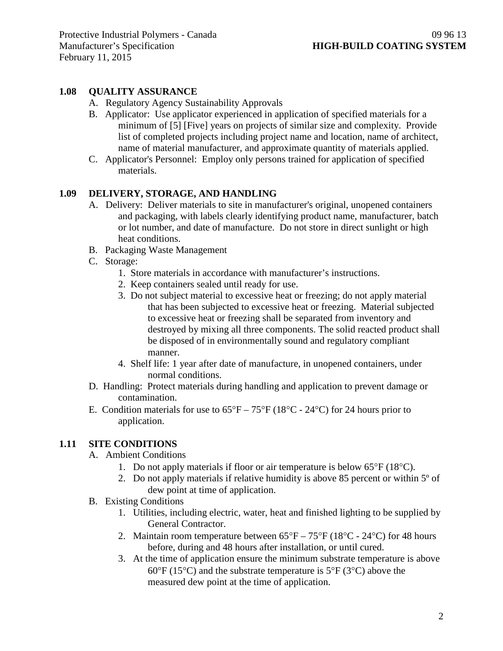### **1.08 QUALITY ASSURANCE**

- A. Regulatory Agency Sustainability Approvals
- B. Applicator: Use applicator experienced in application of specified materials for a minimum of [5] [Five] years on projects of similar size and complexity. Provide list of completed projects including project name and location, name of architect, name of material manufacturer, and approximate quantity of materials applied.
- C. Applicator's Personnel: Employ only persons trained for application of specified materials.

#### **1.09 DELIVERY, STORAGE, AND HANDLING**

- A. Delivery: Deliver materials to site in manufacturer's original, unopened containers and packaging, with labels clearly identifying product name, manufacturer, batch or lot number, and date of manufacture. Do not store in direct sunlight or high heat conditions.
- B. Packaging Waste Management
- C. Storage:
	- 1. Store materials in accordance with manufacturer's instructions.
	- 2. Keep containers sealed until ready for use.
	- 3. Do not subject material to excessive heat or freezing; do not apply material that has been subjected to excessive heat or freezing. Material subjected to excessive heat or freezing shall be separated from inventory and destroyed by mixing all three components. The solid reacted product shall be disposed of in environmentally sound and regulatory compliant manner.
	- 4. Shelf life: 1 year after date of manufacture, in unopened containers, under normal conditions.
- D. Handling: Protect materials during handling and application to prevent damage or contamination.
- E. Condition materials for use to  $65^{\circ}F 75^{\circ}F (18^{\circ}C 24^{\circ}C)$  for 24 hours prior to application.

#### **1.11 SITE CONDITIONS**

- A. Ambient Conditions
	- 1. Do not apply materials if floor or air temperature is below 65°F (18°C).
	- 2. Do not apply materials if relative humidity is above 85 percent or within 5º of dew point at time of application.
- B. Existing Conditions
	- 1. Utilities, including electric, water, heat and finished lighting to be supplied by General Contractor.
	- 2. Maintain room temperature between  $65^{\circ}F 75^{\circ}F (18^{\circ}C 24^{\circ}C)$  for 48 hours before, during and 48 hours after installation, or until cured.
	- 3. At the time of application ensure the minimum substrate temperature is above  $60^{\circ}$ F (15<sup>o</sup>C) and the substrate temperature is 5<sup>o</sup>F (3<sup>o</sup>C) above the measured dew point at the time of application.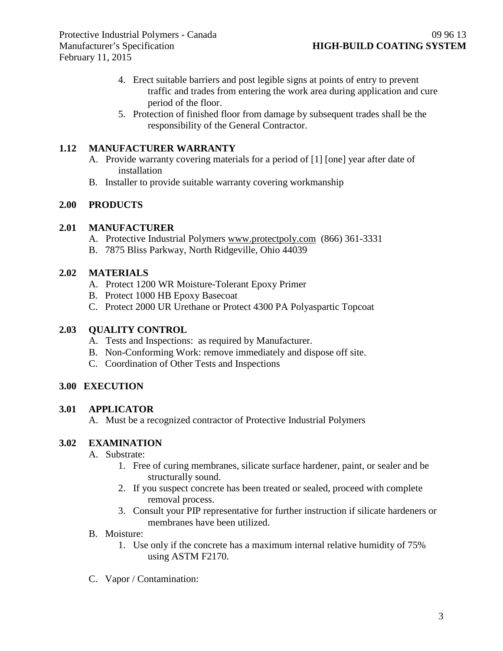- 4. Erect suitable barriers and post legible signs at points of entry to prevent traffic and trades from entering the work area during application and cure period of the floor.
- 5. Protection of finished floor from damage by subsequent trades shall be the responsibility of the General Contractor.

### **1.12 MANUFACTURER WARRANTY**

- A. Provide warranty covering materials for a period of [1] [one] year after date of installation
- B. Installer to provide suitable warranty covering workmanship

#### **2.00 PRODUCTS**

#### **2.01 MANUFACTURER**

- A. Protective Industrial Polymers [www.protectpoly.com](http://www.protectpoly.com/) (866) 361-3331
- B. 7875 Bliss Parkway, North Ridgeville, Ohio 44039

#### **2.02 MATERIALS**

- A. Protect 1200 WR Moisture-Tolerant Epoxy Primer
- B. Protect 1000 HB Epoxy Basecoat
- C. Protect 2000 UR Urethane or Protect 4300 PA Polyaspartic Topcoat

#### **2.03 QUALITY CONTROL**

- A. Tests and Inspections: as required by Manufacturer.
- B. Non-Conforming Work: remove immediately and dispose off site.
- C. Coordination of Other Tests and Inspections

#### **3.00 EXECUTION**

#### **3.01 APPLICATOR**

A. Must be a recognized contractor of Protective Industrial Polymers

#### **3.02 EXAMINATION**

- A. Substrate:
	- 1. Free of curing membranes, silicate surface hardener, paint, or sealer and be structurally sound.
	- 2. If you suspect concrete has been treated or sealed, proceed with complete removal process.
	- 3. Consult your PIP representative for further instruction if silicate hardeners or membranes have been utilized.
- B. Moisture:
	- 1. Use only if the concrete has a maximum internal relative humidity of 75% using ASTM F2170.
- C. Vapor / Contamination: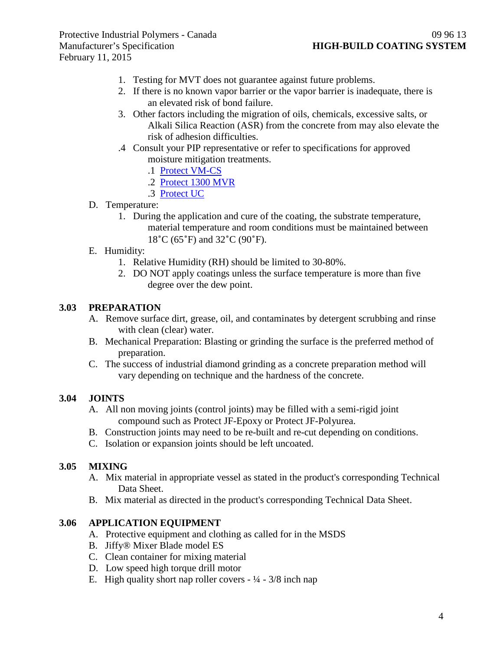- 1. Testing for MVT does not guarantee against future problems.
- 2. If there is no known vapor barrier or the vapor barrier is inadequate, there is an elevated risk of bond failure.
- 3. Other factors including the migration of oils, chemicals, excessive salts, or Alkali Silica Reaction (ASR) from the concrete from may also elevate the risk of adhesion difficulties.
- .4 Consult your PIP representative or refer to specifications for approved moisture mitigation treatments.
	- .1 [Protect VM-CS](http://www.protectiveindustrialpolymers.com/Upload/Canadian%20Specs/Moisture%20Mitigation%20Spec%20-%20VM-CS%20(CANADIAN).pdf)
	- .2 [Protect 1300 MVR](http://www.protectiveindustrialpolymers.com/Upload/Canadian%20Specs/Moisture%20Mitigation%20Spec%20-%201300MVR%20(CANADIAN).pdf)
	- .3 [Protect UC](http://www.protectiveindustrialpolymers.com/Upload/Canadian%20Specs/Moisture%20Mitigation%20Spec%20-%20UC%20(CANADIAN).pdf)
- D. Temperature:
	- 1. During the application and cure of the coating, the substrate temperature, material temperature and room conditions must be maintained between 18˚C (65˚F) and 32˚C (90˚F).
- E. Humidity:
	- 1. Relative Humidity (RH) should be limited to 30-80%.
	- 2. DO NOT apply coatings unless the surface temperature is more than five degree over the dew point.

## **3.03 PREPARATION**

- A. Remove surface dirt, grease, oil, and contaminates by detergent scrubbing and rinse with clean (clear) water.
- B. Mechanical Preparation: Blasting or grinding the surface is the preferred method of preparation.
- C. The success of industrial diamond grinding as a concrete preparation method will vary depending on technique and the hardness of the concrete.

## **3.04 JOINTS**

- A. All non moving joints (control joints) may be filled with a semi-rigid joint compound such as Protect JF-Epoxy or Protect JF-Polyurea.
- B. Construction joints may need to be re-built and re-cut depending on conditions.
- C. Isolation or expansion joints should be left uncoated.

#### **3.05 MIXING**

- A. Mix material in appropriate vessel as stated in the product's corresponding Technical Data Sheet.
- B. Mix material as directed in the product's corresponding Technical Data Sheet.

#### **3.06 APPLICATION EQUIPMENT**

- A. Protective equipment and clothing as called for in the MSDS
- B. Jiffy® Mixer Blade model ES
- C. Clean container for mixing material
- D. Low speed high torque drill motor
- E. High quality short nap roller covers  $-1/4 3/8$  inch nap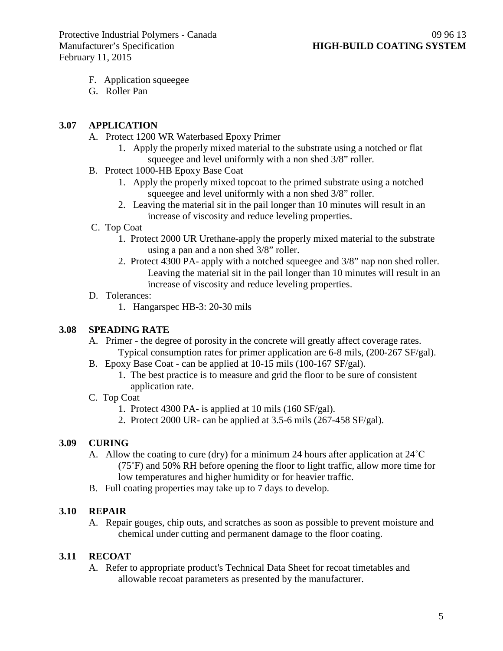- F. Application squeegee
- G. Roller Pan

### **3.07 APPLICATION**

- A. Protect 1200 WR Waterbased Epoxy Primer
	- 1. Apply the properly mixed material to the substrate using a notched or flat squeegee and level uniformly with a non shed 3/8" roller.
- B. Protect 1000-HB Epoxy Base Coat
	- 1. Apply the properly mixed topcoat to the primed substrate using a notched squeegee and level uniformly with a non shed 3/8" roller.
	- 2. Leaving the material sit in the pail longer than 10 minutes will result in an increase of viscosity and reduce leveling properties.
- C. Top Coat
	- 1. Protect 2000 UR Urethane-apply the properly mixed material to the substrate using a pan and a non shed 3/8" roller.
	- 2. Protect 4300 PA- apply with a notched squeegee and 3/8" nap non shed roller. Leaving the material sit in the pail longer than 10 minutes will result in an increase of viscosity and reduce leveling properties.
- D. Tolerances:
	- 1. Hangarspec HB-3: 20-30 mils

## **3.08 SPEADING RATE**

- A. Primer the degree of porosity in the concrete will greatly affect coverage rates. Typical consumption rates for primer application are 6-8 mils, (200-267 SF/gal).
- B. Epoxy Base Coat can be applied at 10-15 mils (100-167 SF/gal).
	- 1. The best practice is to measure and grid the floor to be sure of consistent application rate.
- C. Top Coat
	- 1. Protect 4300 PA- is applied at 10 mils (160 SF/gal).
	- 2. Protect 2000 UR- can be applied at 3.5-6 mils (267-458 SF/gal).

## **3.09 CURING**

- A. Allow the coating to cure (dry) for a minimum 24 hours after application at 24˚C (75˚F) and 50% RH before opening the floor to light traffic, allow more time for low temperatures and higher humidity or for heavier traffic.
- B. Full coating properties may take up to 7 days to develop.

## **3.10 REPAIR**

A. Repair gouges, chip outs, and scratches as soon as possible to prevent moisture and chemical under cutting and permanent damage to the floor coating.

## **3.11 RECOAT**

A. Refer to appropriate product's Technical Data Sheet for recoat timetables and allowable recoat parameters as presented by the manufacturer.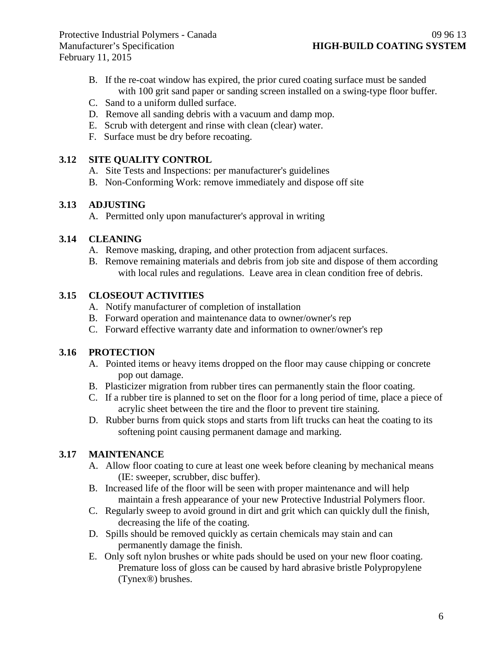- B. If the re-coat window has expired, the prior cured coating surface must be sanded with 100 grit sand paper or sanding screen installed on a swing-type floor buffer.
- C. Sand to a uniform dulled surface.
- D. Remove all sanding debris with a vacuum and damp mop.
- E. Scrub with detergent and rinse with clean (clear) water.
- F. Surface must be dry before recoating.

## **3.12 SITE QUALITY CONTROL**

- A. Site Tests and Inspections: per manufacturer's guidelines
- B. Non-Conforming Work: remove immediately and dispose off site

## **3.13 ADJUSTING**

A. Permitted only upon manufacturer's approval in writing

# **3.14 CLEANING**

- A. Remove masking, draping, and other protection from adjacent surfaces.
- B. Remove remaining materials and debris from job site and dispose of them according with local rules and regulations. Leave area in clean condition free of debris.

# **3.15 CLOSEOUT ACTIVITIES**

- A. Notify manufacturer of completion of installation
- B. Forward operation and maintenance data to owner/owner's rep
- C. Forward effective warranty date and information to owner/owner's rep

# **3.16 PROTECTION**

- A. Pointed items or heavy items dropped on the floor may cause chipping or concrete pop out damage.
- B. Plasticizer migration from rubber tires can permanently stain the floor coating.
- C. If a rubber tire is planned to set on the floor for a long period of time, place a piece of acrylic sheet between the tire and the floor to prevent tire staining.
- D. Rubber burns from quick stops and starts from lift trucks can heat the coating to its softening point causing permanent damage and marking.

# **3.17 MAINTENANCE**

- A. Allow floor coating to cure at least one week before cleaning by mechanical means (IE: sweeper, scrubber, disc buffer).
- B. Increased life of the floor will be seen with proper maintenance and will help maintain a fresh appearance of your new Protective Industrial Polymers floor.
- C. Regularly sweep to avoid ground in dirt and grit which can quickly dull the finish, decreasing the life of the coating.
- D. Spills should be removed quickly as certain chemicals may stain and can permanently damage the finish.
- E. Only soft nylon brushes or white pads should be used on your new floor coating. Premature loss of gloss can be caused by hard abrasive bristle Polypropylene (Tynex®) brushes.